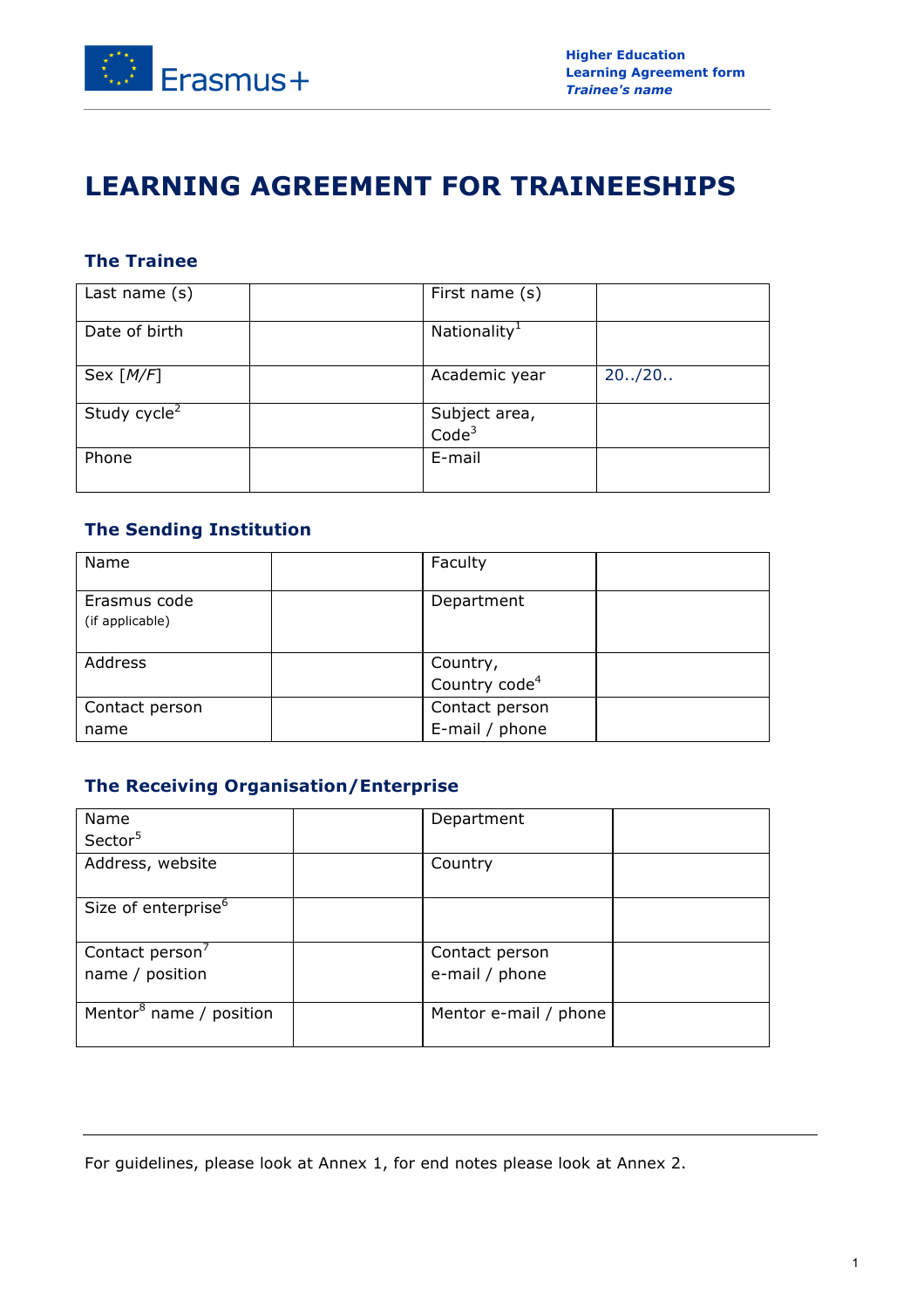

# **LEARNING AGREEMENT FOR TRAINEESHIPS**

# **The Trainee**

| Last name $(s)$          | First name (s)                     |         |
|--------------------------|------------------------------------|---------|
| Date of birth            | Nationality <sup>1</sup>           |         |
| Sex $[M/F]$              | Academic year                      | 20.720. |
| Study cycle <sup>2</sup> | Subject area,<br>Code <sup>3</sup> |         |
| Phone                    | E-mail                             |         |

### **The Sending Institution**

| Name                            | Faculty                               |
|---------------------------------|---------------------------------------|
| Erasmus code<br>(if applicable) | Department                            |
| Address                         | Country,<br>Country code <sup>4</sup> |
| Contact person                  | Contact person                        |
| name                            | E-mail / phone                        |

# **The Receiving Organisation/Enterprise**

| Name                                | Department            |
|-------------------------------------|-----------------------|
| Sector <sup>5</sup>                 |                       |
| Address, website                    | Country               |
| Size of enterprise <sup>6</sup>     |                       |
| Contact person <sup>7</sup>         | Contact person        |
| name / position                     | e-mail / phone        |
| Mentor <sup>8</sup> name / position | Mentor e-mail / phone |

For guidelines, please look at Annex 1, for end notes please look at Annex 2.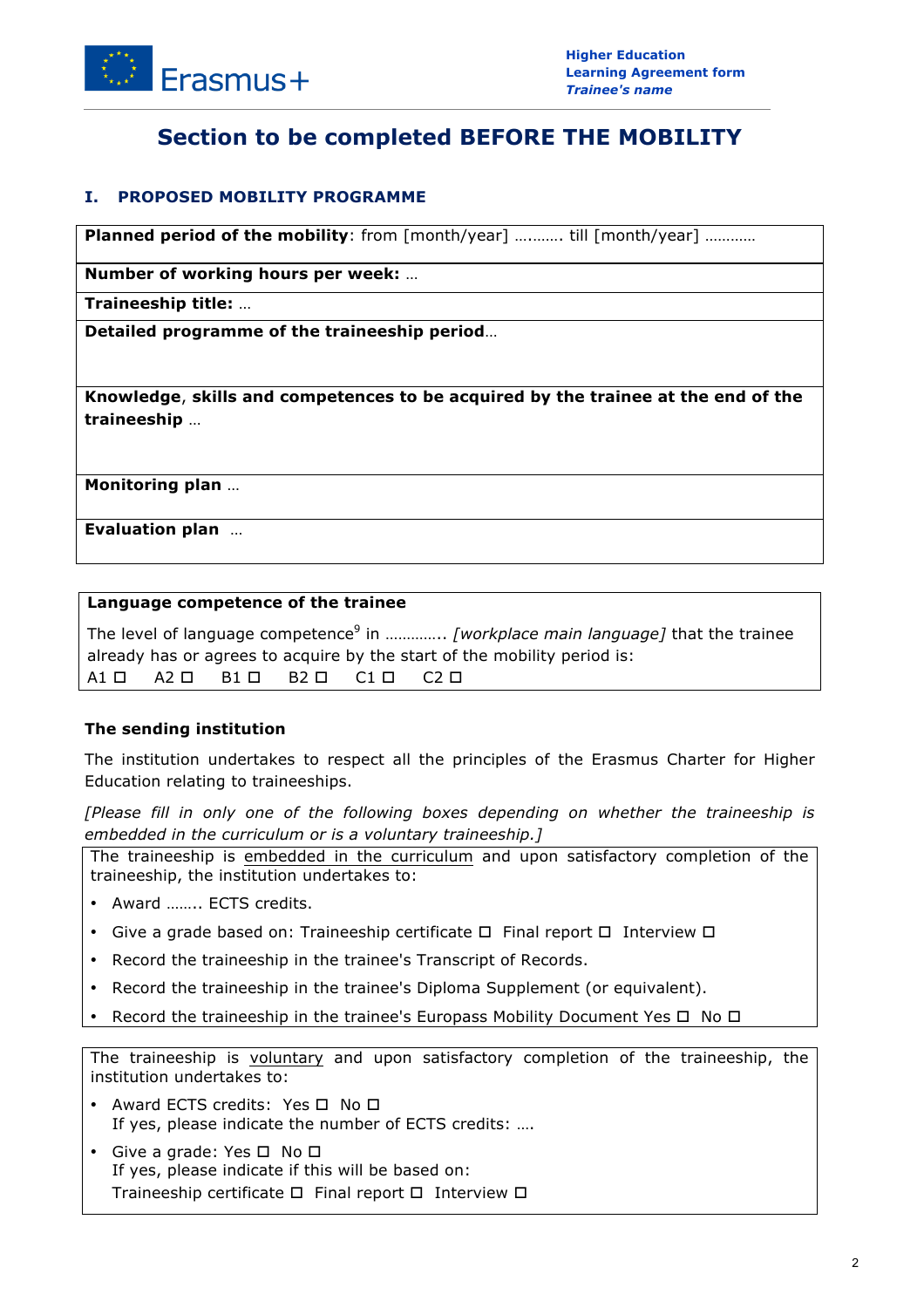

# **Section to be completed BEFORE THE MOBILITY**

### **I. PROPOSED MOBILITY PROGRAMME**

**Planned period of the mobility**: from  $\lceil \text{month}/\text{year} \rceil$  ............ till  $\lceil \text{month}/\text{year} \rceil$  ............

**Number of working hours per week:** …

**Traineeship title:** …

**Detailed programme of the traineeship period**…

**Knowledge**, **skills and competences to be acquired by the trainee at the end of the traineeship** …

**Monitoring plan** …

**Evaluation plan** …

#### **Language competence of the trainee**

The level of language competence<sup>9</sup> in .............. [workplace main language] that the trainee already has or agrees to acquire by the start of the mobility period is: A1 A2 B1 B2 C1 C2

### **The sending institution**

The institution undertakes to respect all the principles of the Erasmus Charter for Higher Education relating to traineeships.

*[Please fill in only one of the following boxes depending on whether the traineeship is embedded in the curriculum or is a voluntary traineeship.]*

The traineeship is embedded in the curriculum and upon satisfactory completion of the traineeship, the institution undertakes to:

- Award …….. ECTS credits.
- Give a grade based on: Traineeship certificate  $\Box$  Final report  $\Box$  Interview  $\Box$
- Record the traineeship in the trainee's Transcript of Records.
- Record the traineeship in the trainee's Diploma Supplement (or equivalent).
- Record the traineeship in the trainee's Europass Mobility Document Yes  $\square$  No  $\square$

The traineeship is voluntary and upon satisfactory completion of the traineeship, the institution undertakes to:

- Award ECTS credits: Yes  $\Box$  No  $\Box$ If yes, please indicate the number of ECTS credits: ….
- Give a grade: Yes  $\square$  No  $\square$ If yes, please indicate if this will be based on: Traineeship certificate  $\Box$  Final report  $\Box$  Interview  $\Box$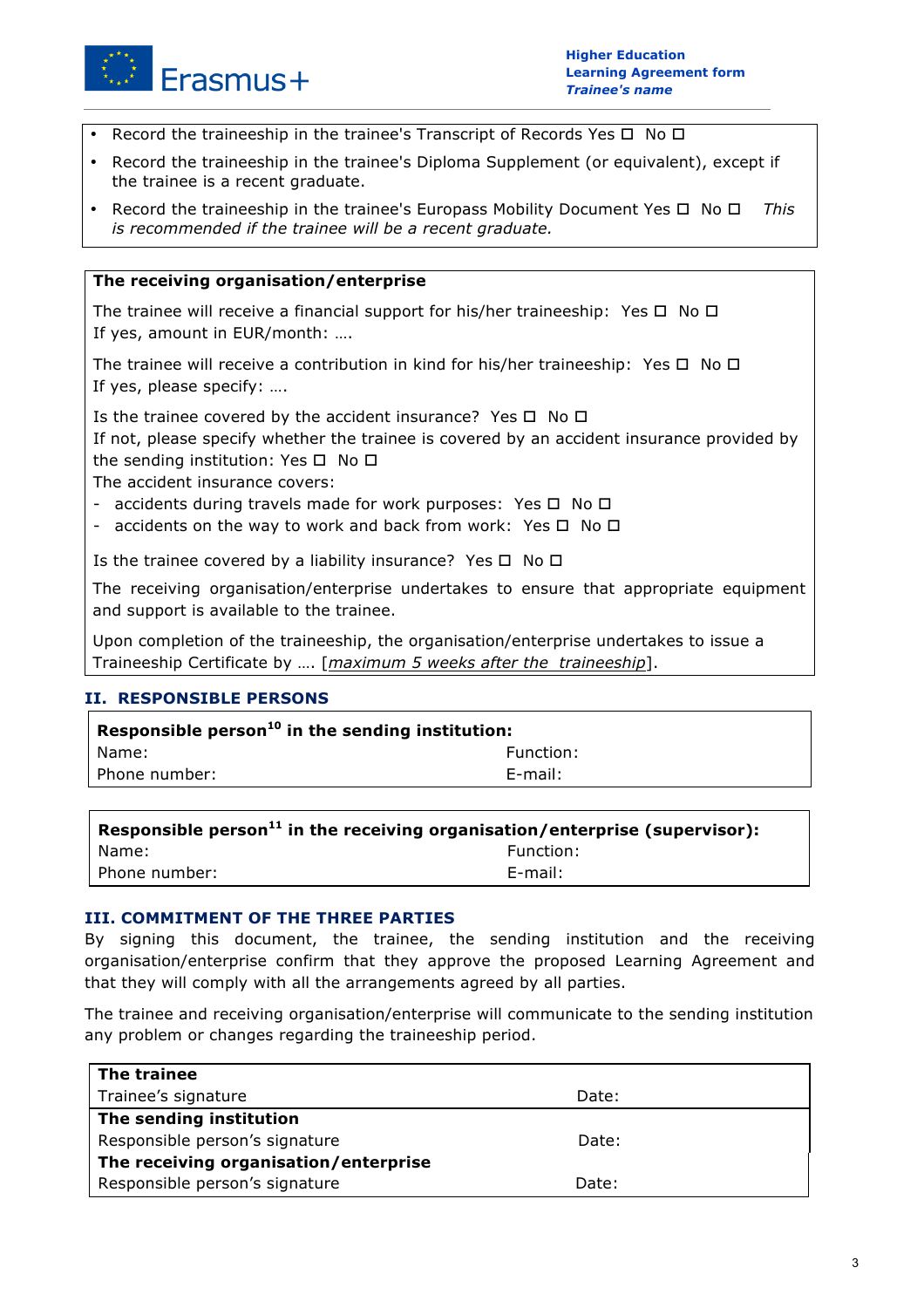

- Record the traineeship in the trainee's Transcript of Records Yes  $\Box$  No  $\Box$
- Record the traineeship in the trainee's Diploma Supplement (or equivalent), except if the trainee is a recent graduate.
- Record the traineeship in the trainee's Europass Mobility Document Yes  $\Box$  No  $\Box$  This *is recommended if the trainee will be a recent graduate.*

#### **The receiving organisation/enterprise**

The trainee will receive a financial support for his/her traineeship: Yes  $\Box$  No  $\Box$ If yes, amount in EUR/month: ….

The trainee will receive a contribution in kind for his/her traineeship: Yes  $\Box$  No  $\Box$ If yes, please specify: ….

Is the trainee covered by the accident insurance? Yes  $\Box$  No  $\Box$ If not, please specify whether the trainee is covered by an accident insurance provided by the sending institution: Yes  $\Box$  No  $\Box$ 

The accident insurance covers:

- accidents during travels made for work purposes: Yes  $\Box$  No  $\Box$
- accidents on the way to work and back from work: Yes  $\Box$  No  $\Box$

Is the trainee covered by a liability insurance? Yes  $\Box$  No  $\Box$ 

The receiving organisation/enterprise undertakes to ensure that appropriate equipment and support is available to the trainee.

Upon completion of the traineeship, the organisation/enterprise undertakes to issue a Traineeship Certificate by …. [*maximum 5 weeks after the traineeship*].

### **II. RESPONSIBLE PERSONS**

| Responsible person $10$ in the sending institution: |           |
|-----------------------------------------------------|-----------|
| I Name:                                             | Function: |
| l Phone number:                                     | E-mail:   |
|                                                     |           |

| $\overline{a}$ Responsible person $^{11}$ in the receiving organisation/enterprise (supervisor): |           |
|--------------------------------------------------------------------------------------------------|-----------|
| I Name:                                                                                          | Function: |
| l Phone number:                                                                                  | E-mail:   |

#### **III. COMMITMENT OF THE THREE PARTIES**

By signing this document, the trainee, the sending institution and the receiving organisation/enterprise confirm that they approve the proposed Learning Agreement and that they will comply with all the arrangements agreed by all parties.

The trainee and receiving organisation/enterprise will communicate to the sending institution any problem or changes regarding the traineeship period.

| The trainee                           |       |  |
|---------------------------------------|-------|--|
| Trainee's signature                   | Date: |  |
| The sending institution               |       |  |
| Responsible person's signature        | Date: |  |
| The receiving organisation/enterprise |       |  |
| Responsible person's signature        | Date: |  |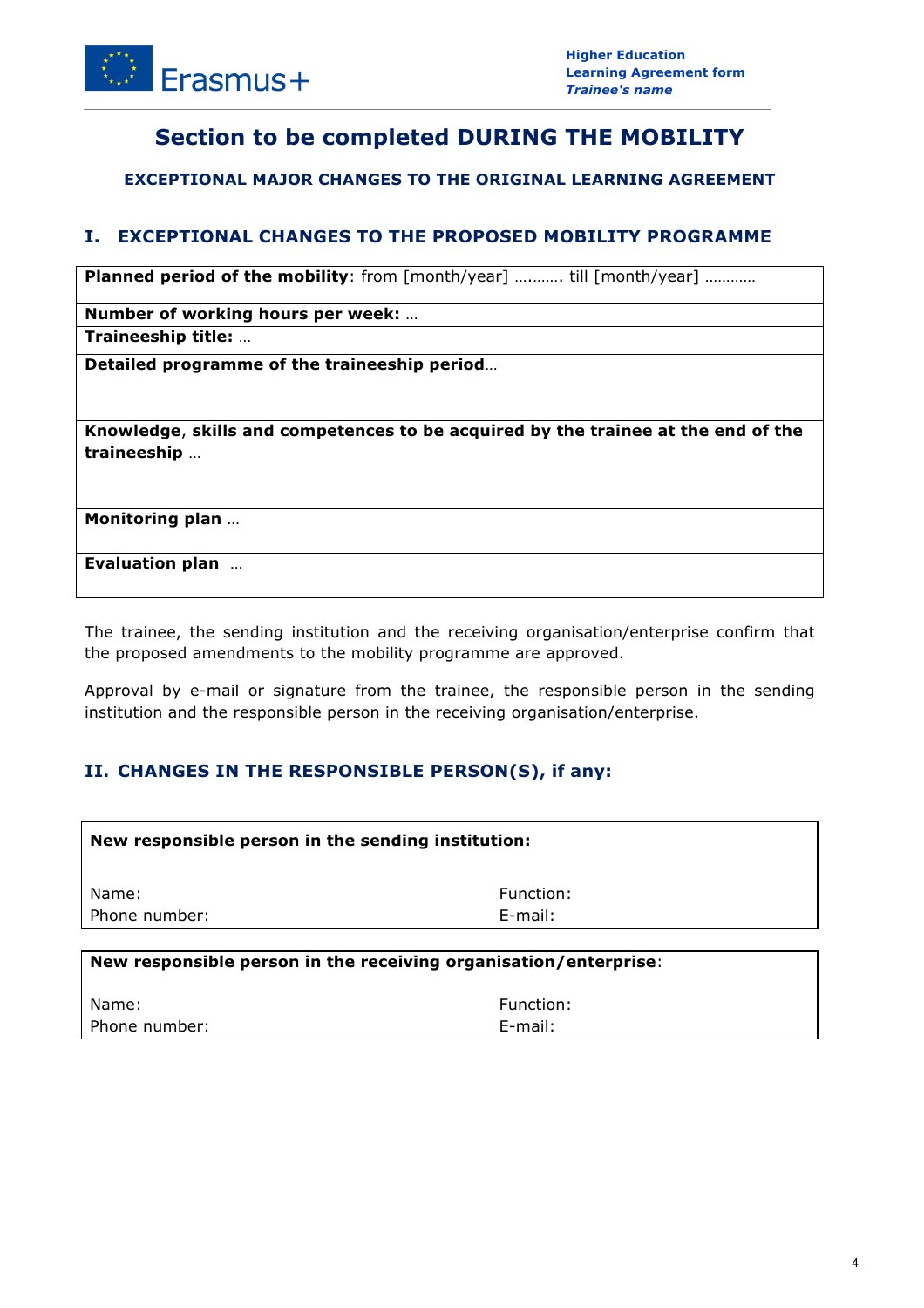

# **Section to be completed DURING THE MOBILITY**

**EXCEPTIONAL MAJOR CHANGES TO THE ORIGINAL LEARNING AGREEMENT**

### **I. EXCEPTIONAL CHANGES TO THE PROPOSED MOBILITY PROGRAMME**

**Planned period of the mobility**: from [month/year] ........... till [month/year] ............

**Number of working hours per week:** …

**Traineeship title:** …

**Detailed programme of the traineeship period**…

**Knowledge**, **skills and competences to be acquired by the trainee at the end of the traineeship** …

**Monitoring plan** …

**Evaluation plan** …

The trainee, the sending institution and the receiving organisation/enterprise confirm that the proposed amendments to the mobility programme are approved.

Approval by e-mail or signature from the trainee, the responsible person in the sending institution and the responsible person in the receiving organisation/enterprise.

### **II. CHANGES IN THE RESPONSIBLE PERSON(S), if any:**

| New responsible person in the sending institution: |           |
|----------------------------------------------------|-----------|
| Name:                                              | Function: |
| Phone number:                                      | E-mail:   |
|                                                    |           |

| New responsible person in the receiving organisation/enterprise: |            |
|------------------------------------------------------------------|------------|
| Name:                                                            | Function:  |
| l Phone number:                                                  | $F$ -mail: |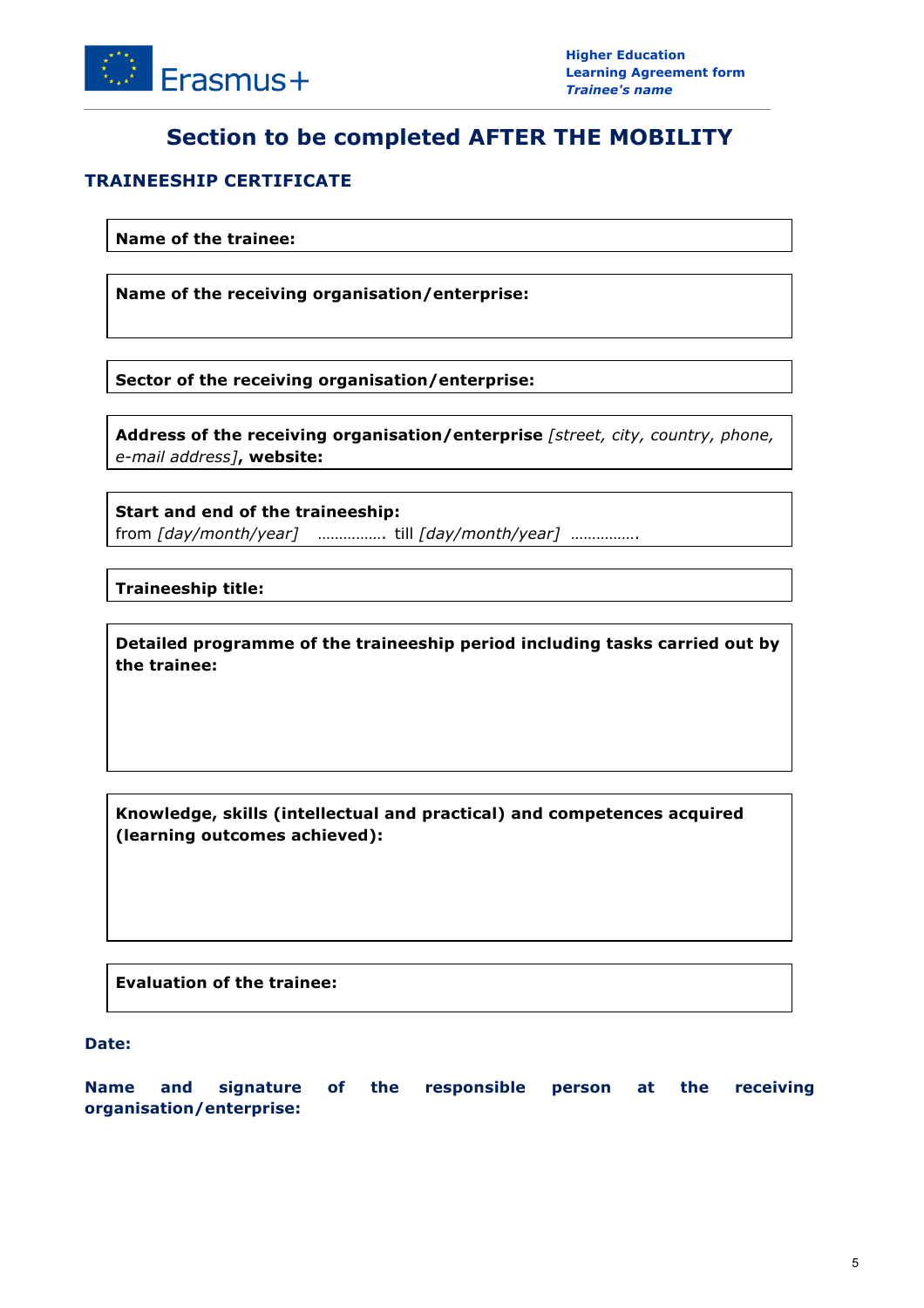

# **Section to be completed AFTER THE MOBILITY**

### **TRAINEESHIP CERTIFICATE**

**Name of the trainee:**

**Name of the receiving organisation/enterprise:**

**Sector of the receiving organisation/enterprise:**

**Address of the receiving organisation/enterprise** *[street, city, country, phone, e-mail address]***, website:**

**Start and end of the traineeship:** from *[day/month/year]* ……………. till *[day/month/year]* …………….

**Traineeship title:**

**Detailed programme of the traineeship period including tasks carried out by the trainee:**

**Knowledge, skills (intellectual and practical) and competences acquired (learning outcomes achieved):**

**Evaluation of the trainee:**

**Date:**

**Name and signature of the responsible person at the receiving organisation/enterprise:**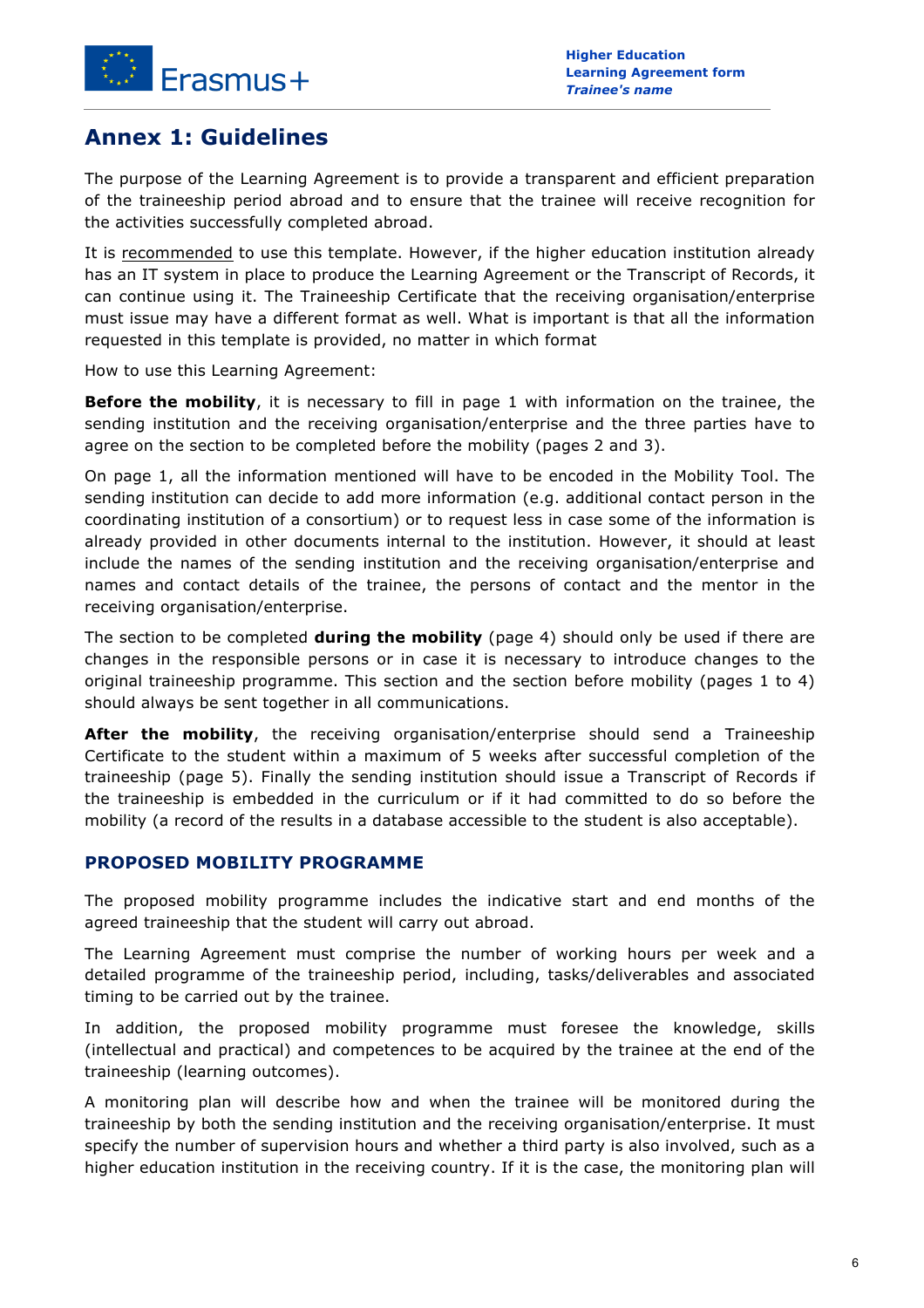

# **Annex 1: Guidelines**

The purpose of the Learning Agreement is to provide a transparent and efficient preparation of the traineeship period abroad and to ensure that the trainee will receive recognition for the activities successfully completed abroad.

It is recommended to use this template. However, if the higher education institution already has an IT system in place to produce the Learning Agreement or the Transcript of Records, it can continue using it. The Traineeship Certificate that the receiving organisation/enterprise must issue may have a different format as well. What is important is that all the information requested in this template is provided, no matter in which format

How to use this Learning Agreement:

**Before the mobility**, it is necessary to fill in page 1 with information on the trainee, the sending institution and the receiving organisation/enterprise and the three parties have to agree on the section to be completed before the mobility (pages 2 and 3).

On page 1, all the information mentioned will have to be encoded in the Mobility Tool. The sending institution can decide to add more information (e.g. additional contact person in the coordinating institution of a consortium) or to request less in case some of the information is already provided in other documents internal to the institution. However, it should at least include the names of the sending institution and the receiving organisation/enterprise and names and contact details of the trainee, the persons of contact and the mentor in the receiving organisation/enterprise.

The section to be completed **during the mobility** (page 4) should only be used if there are changes in the responsible persons or in case it is necessary to introduce changes to the original traineeship programme. This section and the section before mobility (pages 1 to 4) should always be sent together in all communications.

**After the mobility**, the receiving organisation/enterprise should send a Traineeship Certificate to the student within a maximum of 5 weeks after successful completion of the traineeship (page 5). Finally the sending institution should issue a Transcript of Records if the traineeship is embedded in the curriculum or if it had committed to do so before the mobility (a record of the results in a database accessible to the student is also acceptable).

### **PROPOSED MOBILITY PROGRAMME**

The proposed mobility programme includes the indicative start and end months of the agreed traineeship that the student will carry out abroad.

The Learning Agreement must comprise the number of working hours per week and a detailed programme of the traineeship period, including, tasks/deliverables and associated timing to be carried out by the trainee.

In addition, the proposed mobility programme must foresee the knowledge, skills (intellectual and practical) and competences to be acquired by the trainee at the end of the traineeship (learning outcomes).

A monitoring plan will describe how and when the trainee will be monitored during the traineeship by both the sending institution and the receiving organisation/enterprise. It must specify the number of supervision hours and whether a third party is also involved, such as a higher education institution in the receiving country. If it is the case, the monitoring plan will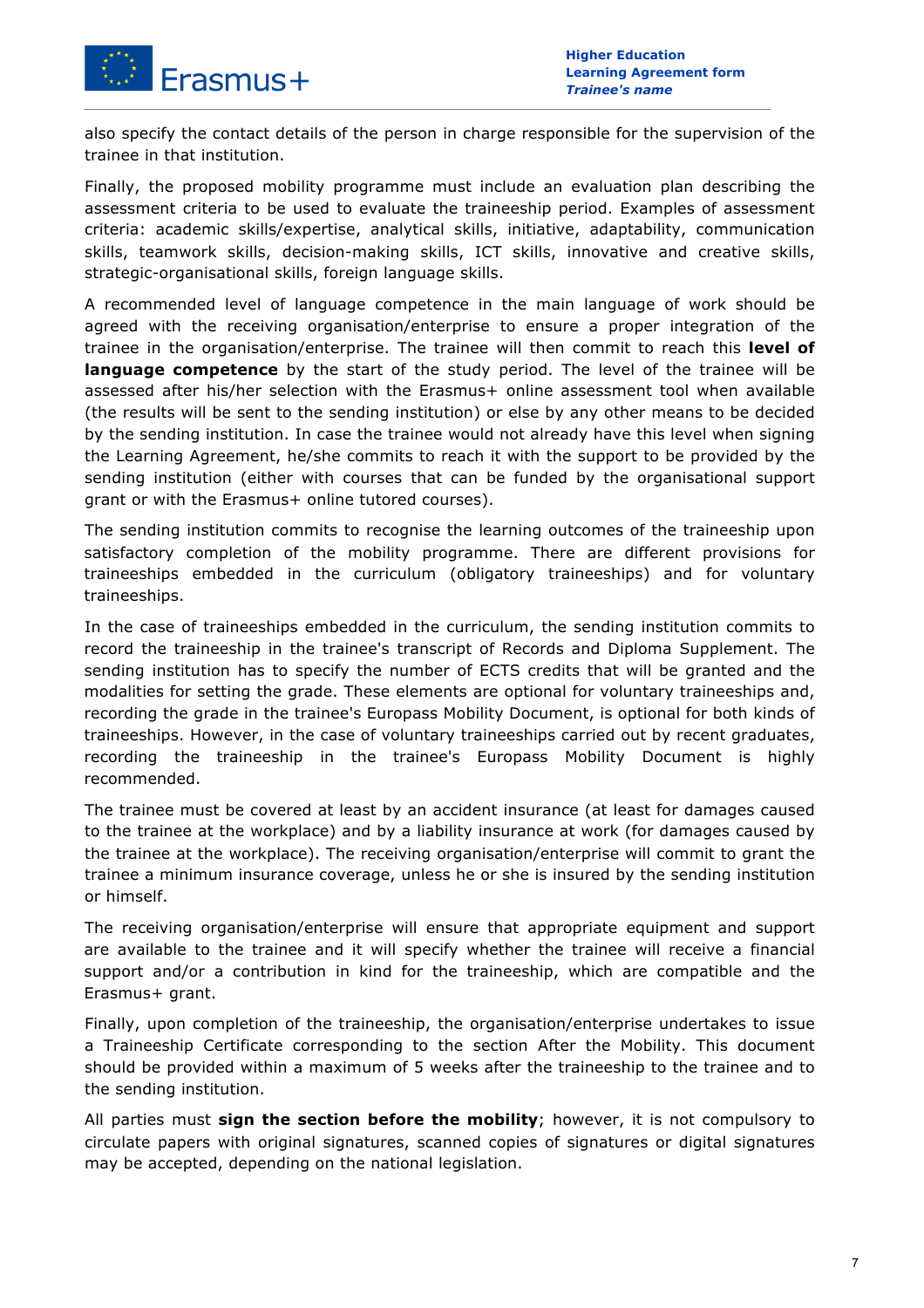

also specify the contact details of the person in charge responsible for the supervision of the trainee in that institution.

Finally, the proposed mobility programme must include an evaluation plan describing the assessment criteria to be used to evaluate the traineeship period. Examples of assessment criteria: academic skills/expertise, analytical skills, initiative, adaptability, communication skills, teamwork skills, decision-making skills, ICT skills, innovative and creative skills, strategic-organisational skills, foreign language skills.

A recommended level of language competence in the main language of work should be agreed with the receiving organisation/enterprise to ensure a proper integration of the trainee in the organisation/enterprise. The trainee will then commit to reach this **level of language competence** by the start of the study period. The level of the trainee will be assessed after his/her selection with the Erasmus+ online assessment tool when available (the results will be sent to the sending institution) or else by any other means to be decided by the sending institution. In case the trainee would not already have this level when signing the Learning Agreement, he/she commits to reach it with the support to be provided by the sending institution (either with courses that can be funded by the organisational support grant or with the Erasmus+ online tutored courses).

The sending institution commits to recognise the learning outcomes of the traineeship upon satisfactory completion of the mobility programme. There are different provisions for traineeships embedded in the curriculum (obligatory traineeships) and for voluntary traineeships.

In the case of traineeships embedded in the curriculum, the sending institution commits to record the traineeship in the trainee's transcript of Records and Diploma Supplement. The sending institution has to specify the number of ECTS credits that will be granted and the modalities for setting the grade. These elements are optional for voluntary traineeships and, recording the grade in the trainee's Europass Mobility Document, is optional for both kinds of traineeships. However, in the case of voluntary traineeships carried out by recent graduates, recording the traineeship in the trainee's Europass Mobility Document is highly recommended.

The trainee must be covered at least by an accident insurance (at least for damages caused to the trainee at the workplace) and by a liability insurance at work (for damages caused by the trainee at the workplace). The receiving organisation/enterprise will commit to grant the trainee a minimum insurance coverage, unless he or she is insured by the sending institution or himself.

The receiving organisation/enterprise will ensure that appropriate equipment and support are available to the trainee and it will specify whether the trainee will receive a financial support and/or a contribution in kind for the traineeship, which are compatible and the Erasmus+ grant.

Finally, upon completion of the traineeship, the organisation/enterprise undertakes to issue a Traineeship Certificate corresponding to the section After the Mobility. This document should be provided within a maximum of 5 weeks after the traineeship to the trainee and to the sending institution.

All parties must **sign the section before the mobility**; however, it is not compulsory to circulate papers with original signatures, scanned copies of signatures or digital signatures may be accepted, depending on the national legislation.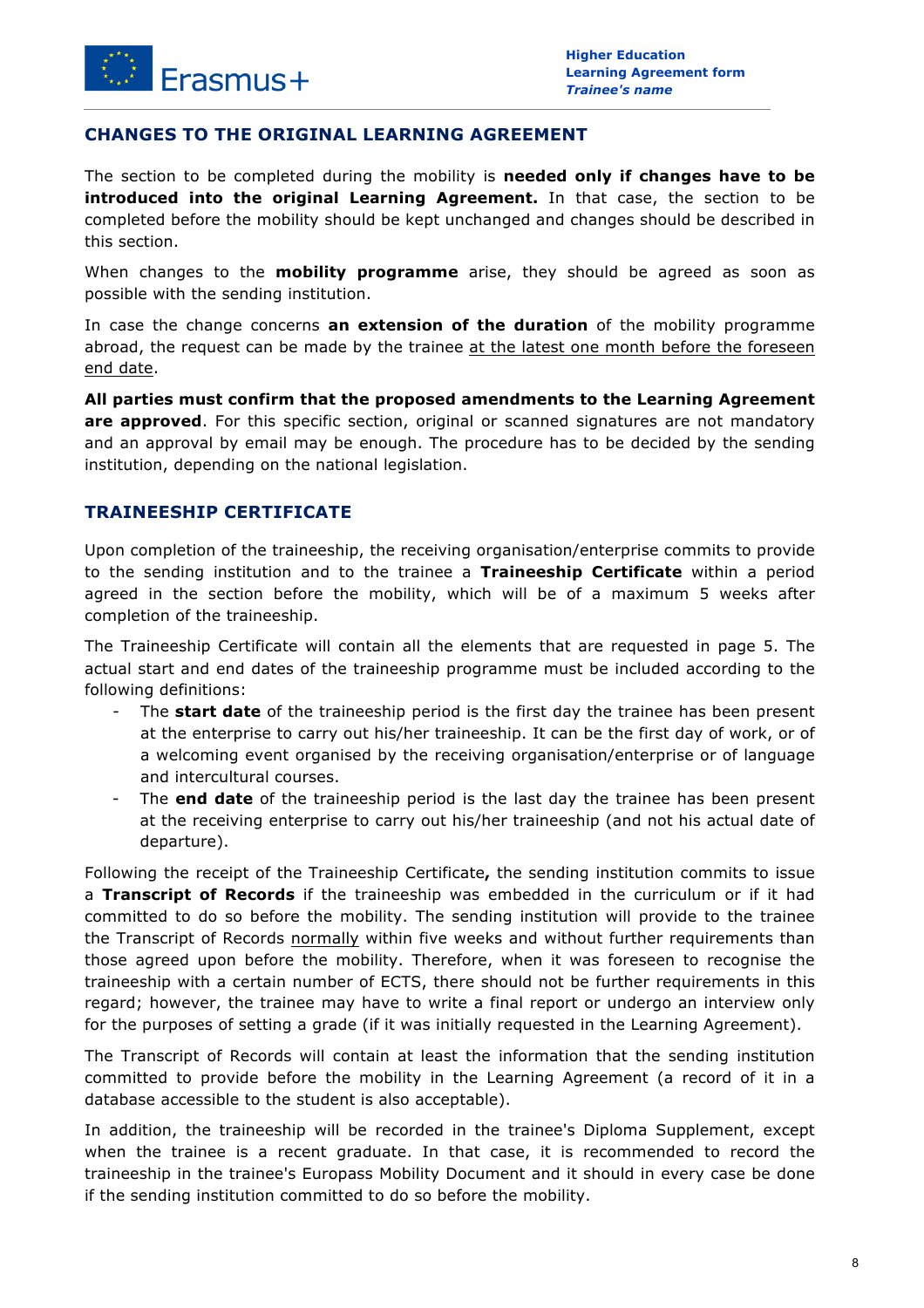### **CHANGES TO THE ORIGINAL LEARNING AGREEMENT**

The section to be completed during the mobility is **needed only if changes have to be introduced into the original Learning Agreement.** In that case, the section to be completed before the mobility should be kept unchanged and changes should be described in this section.

When changes to the **mobility programme** arise, they should be agreed as soon as possible with the sending institution.

In case the change concerns **an extension of the duration** of the mobility programme abroad, the request can be made by the trainee at the latest one month before the foreseen end date.

**All parties must confirm that the proposed amendments to the Learning Agreement are approved**. For this specific section, original or scanned signatures are not mandatory and an approval by email may be enough. The procedure has to be decided by the sending institution, depending on the national legislation.

### **TRAINEESHIP CERTIFICATE**

Upon completion of the traineeship, the receiving organisation/enterprise commits to provide to the sending institution and to the trainee a **Traineeship Certificate** within a period agreed in the section before the mobility, which will be of a maximum 5 weeks after completion of the traineeship.

The Traineeship Certificate will contain all the elements that are requested in page 5. The actual start and end dates of the traineeship programme must be included according to the following definitions:

- The **start date** of the traineeship period is the first day the trainee has been present at the enterprise to carry out his/her traineeship. It can be the first day of work, or of a welcoming event organised by the receiving organisation/enterprise or of language and intercultural courses.
- The **end date** of the traineeship period is the last day the trainee has been present at the receiving enterprise to carry out his/her traineeship (and not his actual date of departure).

Following the receipt of the Traineeship Certificate**,** the sending institution commits to issue a **Transcript of Records** if the traineeship was embedded in the curriculum or if it had committed to do so before the mobility. The sending institution will provide to the trainee the Transcript of Records normally within five weeks and without further requirements than those agreed upon before the mobility. Therefore, when it was foreseen to recognise the traineeship with a certain number of ECTS, there should not be further requirements in this regard; however, the trainee may have to write a final report or undergo an interview only for the purposes of setting a grade (if it was initially requested in the Learning Agreement).

The Transcript of Records will contain at least the information that the sending institution committed to provide before the mobility in the Learning Agreement (a record of it in a database accessible to the student is also acceptable).

In addition, the traineeship will be recorded in the trainee's Diploma Supplement, except when the trainee is a recent graduate. In that case, it is recommended to record the traineeship in the trainee's Europass Mobility Document and it should in every case be done if the sending institution committed to do so before the mobility.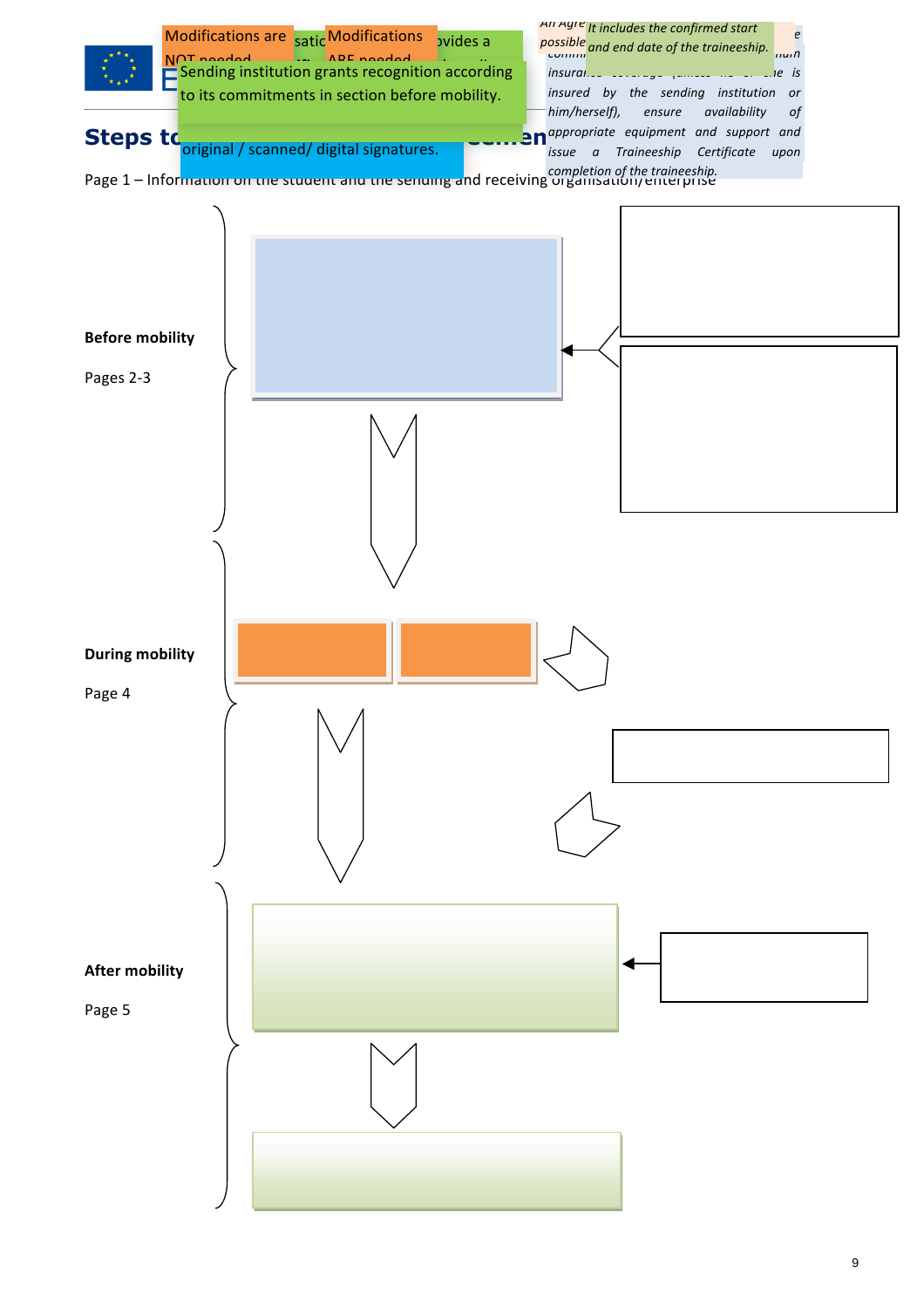